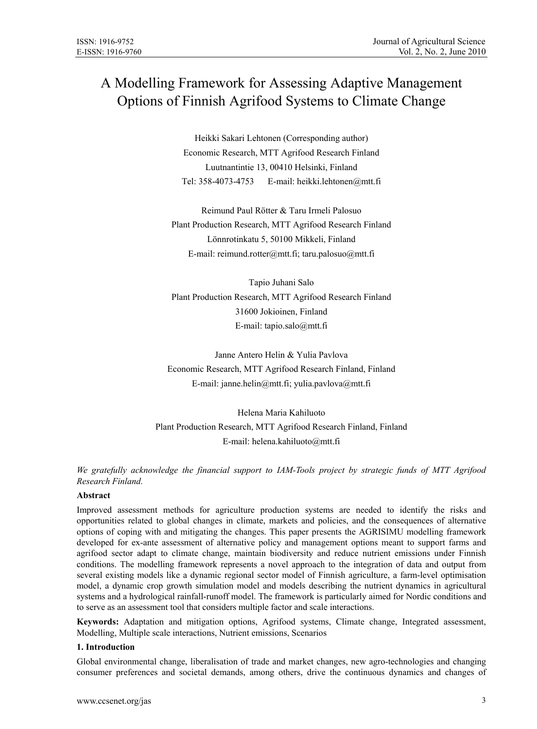# A Modelling Framework for Assessing Adaptive Management Options of Finnish Agrifood Systems to Climate Change

Heikki Sakari Lehtonen (Corresponding author) Economic Research, MTT Agrifood Research Finland Luutnantintie 13, 00410 Helsinki, Finland Tel: 358-4073-4753 E-mail: heikki.lehtonen@mtt.fi

Reimund Paul Rötter & Taru Irmeli Palosuo Plant Production Research, MTT Agrifood Research Finland Lönnrotinkatu 5, 50100 Mikkeli, Finland E-mail: reimund.rotter@mtt.fi; taru.palosuo@mtt.fi

Tapio Juhani Salo Plant Production Research, MTT Agrifood Research Finland 31600 Jokioinen, Finland E-mail: tapio.salo@mtt.fi

Janne Antero Helin & Yulia Pavlova Economic Research, MTT Agrifood Research Finland, Finland E-mail: janne.helin@mtt.fi; yulia.pavlova@mtt.fi

Helena Maria Kahiluoto Plant Production Research, MTT Agrifood Research Finland, Finland E-mail: helena.kahiluoto@mtt.fi

*We gratefully acknowledge the financial support to IAM-Tools project by strategic funds of MTT Agrifood Research Finland.* 

#### **Abstract**

Improved assessment methods for agriculture production systems are needed to identify the risks and opportunities related to global changes in climate, markets and policies, and the consequences of alternative options of coping with and mitigating the changes. This paper presents the AGRISIMU modelling framework developed for ex-ante assessment of alternative policy and management options meant to support farms and agrifood sector adapt to climate change, maintain biodiversity and reduce nutrient emissions under Finnish conditions. The modelling framework represents a novel approach to the integration of data and output from several existing models like a dynamic regional sector model of Finnish agriculture, a farm-level optimisation model, a dynamic crop growth simulation model and models describing the nutrient dynamics in agricultural systems and a hydrological rainfall-runoff model. The framework is particularly aimed for Nordic conditions and to serve as an assessment tool that considers multiple factor and scale interactions.

**Keywords:** Adaptation and mitigation options, Agrifood systems, Climate change, Integrated assessment, Modelling, Multiple scale interactions, Nutrient emissions, Scenarios

## **1. Introduction**

Global environmental change, liberalisation of trade and market changes, new agro-technologies and changing consumer preferences and societal demands, among others, drive the continuous dynamics and changes of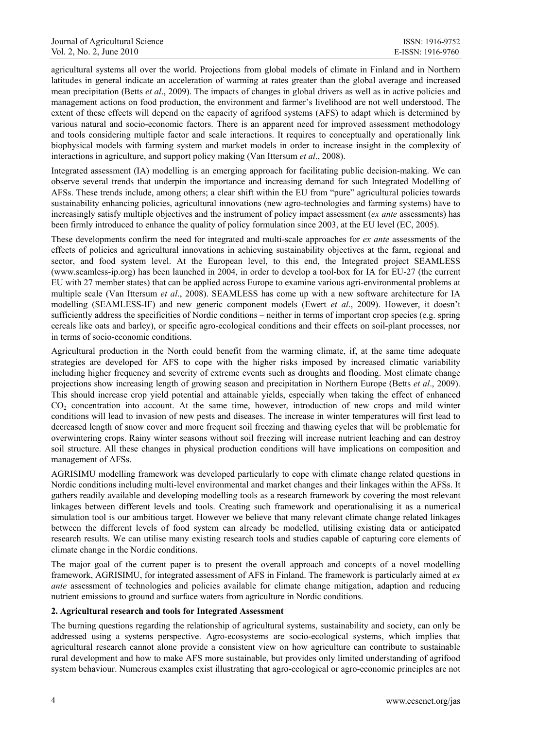agricultural systems all over the world. Projections from global models of climate in Finland and in Northern latitudes in general indicate an acceleration of warming at rates greater than the global average and increased mean precipitation (Betts *et al*., 2009). The impacts of changes in global drivers as well as in active policies and management actions on food production, the environment and farmer's livelihood are not well understood. The extent of these effects will depend on the capacity of agrifood systems (AFS) to adapt which is determined by various natural and socio-economic factors. There is an apparent need for improved assessment methodology and tools considering multiple factor and scale interactions. It requires to conceptually and operationally link biophysical models with farming system and market models in order to increase insight in the complexity of interactions in agriculture, and support policy making (Van Ittersum *et al*., 2008).

Integrated assessment (IA) modelling is an emerging approach for facilitating public decision-making. We can observe several trends that underpin the importance and increasing demand for such Integrated Modelling of AFSs. These trends include, among others; a clear shift within the EU from "pure" agricultural policies towards sustainability enhancing policies, agricultural innovations (new agro-technologies and farming systems) have to increasingly satisfy multiple objectives and the instrument of policy impact assessment (*ex ante* assessments) has been firmly introduced to enhance the quality of policy formulation since 2003, at the EU level (EC, 2005).

These developments confirm the need for integrated and multi-scale approaches for *ex ante* assessments of the effects of policies and agricultural innovations in achieving sustainability objectives at the farm, regional and sector, and food system level. At the European level, to this end, the Integrated project SEAMLESS (www.seamless-ip.org) has been launched in 2004, in order to develop a tool-box for IA for EU-27 (the current EU with 27 member states) that can be applied across Europe to examine various agri-environmental problems at multiple scale (Van Ittersum *et al*., 2008). SEAMLESS has come up with a new software architecture for IA modelling (SEAMLESS-IF) and new generic component models (Ewert *et al*., 2009). However, it doesn't sufficiently address the specificities of Nordic conditions – neither in terms of important crop species (e.g. spring cereals like oats and barley), or specific agro-ecological conditions and their effects on soil-plant processes, nor in terms of socio-economic conditions.

Agricultural production in the North could benefit from the warming climate, if, at the same time adequate strategies are developed for AFS to cope with the higher risks imposed by increased climatic variability including higher frequency and severity of extreme events such as droughts and flooding. Most climate change projections show increasing length of growing season and precipitation in Northern Europe (Betts *et al*., 2009). This should increase crop yield potential and attainable yields, especially when taking the effect of enhanced CO2 concentration into account. At the same time, however, introduction of new crops and mild winter conditions will lead to invasion of new pests and diseases. The increase in winter temperatures will first lead to decreased length of snow cover and more frequent soil freezing and thawing cycles that will be problematic for overwintering crops. Rainy winter seasons without soil freezing will increase nutrient leaching and can destroy soil structure. All these changes in physical production conditions will have implications on composition and management of AFSs.

AGRISIMU modelling framework was developed particularly to cope with climate change related questions in Nordic conditions including multi-level environmental and market changes and their linkages within the AFSs. It gathers readily available and developing modelling tools as a research framework by covering the most relevant linkages between different levels and tools. Creating such framework and operationalising it as a numerical simulation tool is our ambitious target. However we believe that many relevant climate change related linkages between the different levels of food system can already be modelled, utilising existing data or anticipated research results. We can utilise many existing research tools and studies capable of capturing core elements of climate change in the Nordic conditions.

The major goal of the current paper is to present the overall approach and concepts of a novel modelling framework, AGRISIMU, for integrated assessment of AFS in Finland. The framework is particularly aimed at *ex ante* assessment of technologies and policies available for climate change mitigation, adaption and reducing nutrient emissions to ground and surface waters from agriculture in Nordic conditions.

## **2. Agricultural research and tools for Integrated Assessment**

The burning questions regarding the relationship of agricultural systems, sustainability and society, can only be addressed using a systems perspective. Agro-ecosystems are socio-ecological systems, which implies that agricultural research cannot alone provide a consistent view on how agriculture can contribute to sustainable rural development and how to make AFS more sustainable, but provides only limited understanding of agrifood system behaviour. Numerous examples exist illustrating that agro-ecological or agro-economic principles are not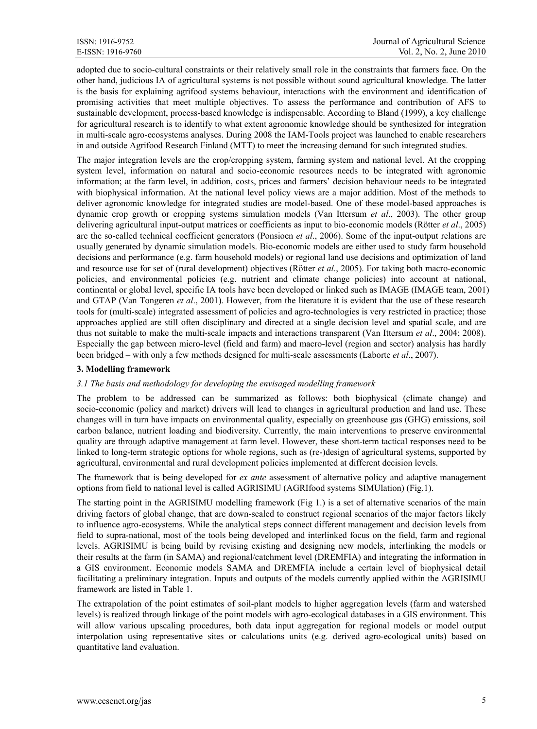adopted due to socio-cultural constraints or their relatively small role in the constraints that farmers face. On the other hand, judicious IA of agricultural systems is not possible without sound agricultural knowledge. The latter is the basis for explaining agrifood systems behaviour, interactions with the environment and identification of promising activities that meet multiple objectives. To assess the performance and contribution of AFS to sustainable development, process-based knowledge is indispensable. According to Bland (1999), a key challenge for agricultural research is to identify to what extent agronomic knowledge should be synthesized for integration in multi-scale agro-ecosystems analyses. During 2008 the IAM-Tools project was launched to enable researchers in and outside Agrifood Research Finland (MTT) to meet the increasing demand for such integrated studies.

The major integration levels are the crop/cropping system, farming system and national level. At the cropping system level, information on natural and socio-economic resources needs to be integrated with agronomic information; at the farm level, in addition, costs, prices and farmers' decision behaviour needs to be integrated with biophysical information. At the national level policy views are a major addition. Most of the methods to deliver agronomic knowledge for integrated studies are model-based. One of these model-based approaches is dynamic crop growth or cropping systems simulation models (Van Ittersum *et al*., 2003). The other group delivering agricultural input-output matrices or coefficients as input to bio-economic models (Rötter *et al*., 2005) are the so-called technical coefficient generators (Ponsioen *et al*., 2006). Some of the input-output relations are usually generated by dynamic simulation models. Bio-economic models are either used to study farm household decisions and performance (e.g. farm household models) or regional land use decisions and optimization of land and resource use for set of (rural development) objectives (Rötter *et al*., 2005). For taking both macro-economic policies, and environmental policies (e.g. nutrient and climate change policies) into account at national, continental or global level, specific IA tools have been developed or linked such as IMAGE (IMAGE team, 2001) and GTAP (Van Tongeren *et al*., 2001). However, from the literature it is evident that the use of these research tools for (multi-scale) integrated assessment of policies and agro-technologies is very restricted in practice; those approaches applied are still often disciplinary and directed at a single decision level and spatial scale, and are thus not suitable to make the multi-scale impacts and interactions transparent (Van Ittersum *et al*., 2004; 2008). Especially the gap between micro-level (field and farm) and macro-level (region and sector) analysis has hardly been bridged – with only a few methods designed for multi-scale assessments (Laborte *et al*., 2007).

## **3. Modelling framework**

## *3.1 The basis and methodology for developing the envisaged modelling framework*

The problem to be addressed can be summarized as follows: both biophysical (climate change) and socio-economic (policy and market) drivers will lead to changes in agricultural production and land use. These changes will in turn have impacts on environmental quality, especially on greenhouse gas (GHG) emissions, soil carbon balance, nutrient loading and biodiversity. Currently, the main interventions to preserve environmental quality are through adaptive management at farm level. However, these short-term tactical responses need to be linked to long-term strategic options for whole regions, such as (re-)design of agricultural systems, supported by agricultural, environmental and rural development policies implemented at different decision levels.

The framework that is being developed for *ex ante* assessment of alternative policy and adaptive management options from field to national level is called AGRISIMU (AGRIfood systems SIMUlation) (Fig.1).

The starting point in the AGRISIMU modelling framework (Fig 1.) is a set of alternative scenarios of the main driving factors of global change, that are down-scaled to construct regional scenarios of the major factors likely to influence agro-ecosystems. While the analytical steps connect different management and decision levels from field to supra-national, most of the tools being developed and interlinked focus on the field, farm and regional levels. AGRISIMU is being build by revising existing and designing new models, interlinking the models or their results at the farm (in SAMA) and regional/catchment level (DREMFIA) and integrating the information in a GIS environment. Economic models SAMA and DREMFIA include a certain level of biophysical detail facilitating a preliminary integration. Inputs and outputs of the models currently applied within the AGRISIMU framework are listed in Table 1.

The extrapolation of the point estimates of soil-plant models to higher aggregation levels (farm and watershed levels) is realized through linkage of the point models with agro-ecological databases in a GIS environment. This will allow various upscaling procedures, both data input aggregation for regional models or model output interpolation using representative sites or calculations units (e.g. derived agro-ecological units) based on quantitative land evaluation.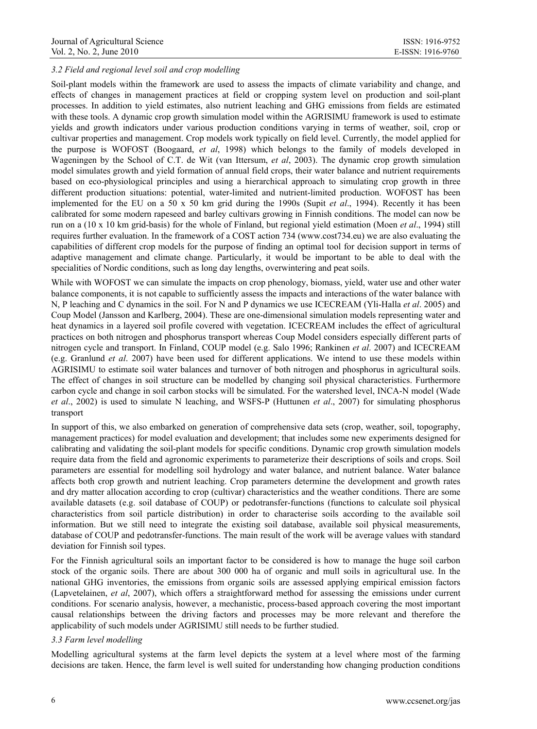# *3.2 Field and regional level soil and crop modelling*

Soil-plant models within the framework are used to assess the impacts of climate variability and change, and effects of changes in management practices at field or cropping system level on production and soil-plant processes. In addition to yield estimates, also nutrient leaching and GHG emissions from fields are estimated with these tools. A dynamic crop growth simulation model within the AGRISIMU framework is used to estimate yields and growth indicators under various production conditions varying in terms of weather, soil, crop or cultivar properties and management. Crop models work typically on field level. Currently, the model applied for the purpose is WOFOST (Boogaard, *et al*, 1998) which belongs to the family of models developed in Wageningen by the School of C.T. de Wit (van Ittersum, *et al*, 2003). The dynamic crop growth simulation model simulates growth and yield formation of annual field crops, their water balance and nutrient requirements based on eco-physiological principles and using a hierarchical approach to simulating crop growth in three different production situations: potential, water-limited and nutrient-limited production. WOFOST has been implemented for the EU on a 50 x 50 km grid during the 1990s (Supit *et al*., 1994). Recently it has been calibrated for some modern rapeseed and barley cultivars growing in Finnish conditions. The model can now be run on a (10 x 10 km grid-basis) for the whole of Finland, but regional yield estimation (Moen *et al*., 1994) still requires further evaluation. In the framework of a COST action 734 (www.cost734.eu) we are also evaluating the capabilities of different crop models for the purpose of finding an optimal tool for decision support in terms of adaptive management and climate change. Particularly, it would be important to be able to deal with the specialities of Nordic conditions, such as long day lengths, overwintering and peat soils.

While with WOFOST we can simulate the impacts on crop phenology, biomass, yield, water use and other water balance components, it is not capable to sufficiently assess the impacts and interactions of the water balance with N, P leaching and C dynamics in the soil. For N and P dynamics we use ICECREAM (Yli-Halla *et al*. 2005) and Coup Model (Jansson and Karlberg, 2004). These are one-dimensional simulation models representing water and heat dynamics in a layered soil profile covered with vegetation. ICECREAM includes the effect of agricultural practices on both nitrogen and phosphorus transport whereas Coup Model considers especially different parts of nitrogen cycle and transport. In Finland, COUP model (e.g. Salo 1996; Rankinen *et al*. 2007) and ICECREAM (e.g. Granlund *et al*. 2007) have been used for different applications. We intend to use these models within AGRISIMU to estimate soil water balances and turnover of both nitrogen and phosphorus in agricultural soils. The effect of changes in soil structure can be modelled by changing soil physical characteristics. Furthermore carbon cycle and change in soil carbon stocks will be simulated. For the watershed level, INCA-N model (Wade *et al*., 2002) is used to simulate N leaching, and WSFS-P (Huttunen *et al*., 2007) for simulating phosphorus transport

In support of this, we also embarked on generation of comprehensive data sets (crop, weather, soil, topography, management practices) for model evaluation and development; that includes some new experiments designed for calibrating and validating the soil-plant models for specific conditions. Dynamic crop growth simulation models require data from the field and agronomic experiments to parameterize their descriptions of soils and crops. Soil parameters are essential for modelling soil hydrology and water balance, and nutrient balance. Water balance affects both crop growth and nutrient leaching. Crop parameters determine the development and growth rates and dry matter allocation according to crop (cultivar) characteristics and the weather conditions. There are some available datasets (e.g. soil database of COUP) or pedotransfer-functions (functions to calculate soil physical characteristics from soil particle distribution) in order to characterise soils according to the available soil information. But we still need to integrate the existing soil database, available soil physical measurements, database of COUP and pedotransfer-functions. The main result of the work will be average values with standard deviation for Finnish soil types.

For the Finnish agricultural soils an important factor to be considered is how to manage the huge soil carbon stock of the organic soils. There are about 300 000 ha of organic and mull soils in agricultural use. In the national GHG inventories, the emissions from organic soils are assessed applying empirical emission factors (Lapvetelainen, *et al*, 2007), which offers a straightforward method for assessing the emissions under current conditions. For scenario analysis, however, a mechanistic, process-based approach covering the most important causal relationships between the driving factors and processes may be more relevant and therefore the applicability of such models under AGRISIMU still needs to be further studied.

## *3.3 Farm level modelling*

Modelling agricultural systems at the farm level depicts the system at a level where most of the farming decisions are taken. Hence, the farm level is well suited for understanding how changing production conditions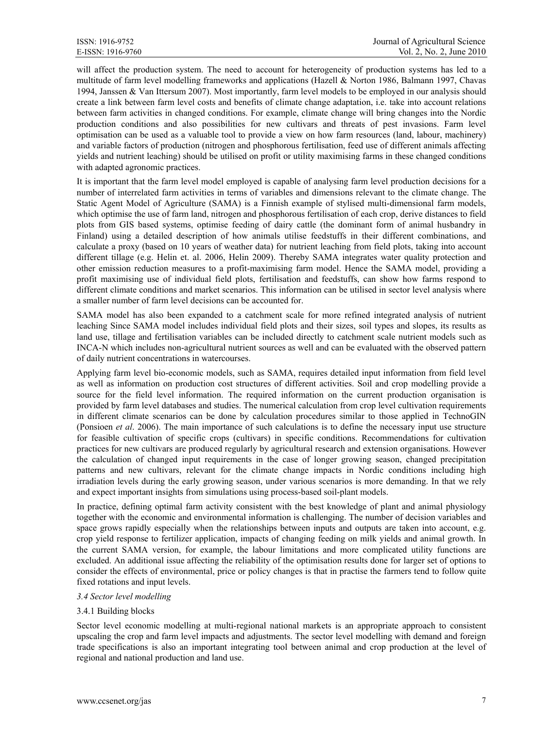will affect the production system. The need to account for heterogeneity of production systems has led to a multitude of farm level modelling frameworks and applications (Hazell & Norton 1986, Balmann 1997, Chavas 1994, Janssen & Van Ittersum 2007). Most importantly, farm level models to be employed in our analysis should create a link between farm level costs and benefits of climate change adaptation, i.e. take into account relations between farm activities in changed conditions. For example, climate change will bring changes into the Nordic production conditions and also possibilities for new cultivars and threats of pest invasions. Farm level optimisation can be used as a valuable tool to provide a view on how farm resources (land, labour, machinery) and variable factors of production (nitrogen and phosphorous fertilisation, feed use of different animals affecting yields and nutrient leaching) should be utilised on profit or utility maximising farms in these changed conditions with adapted agronomic practices.

It is important that the farm level model employed is capable of analysing farm level production decisions for a number of interrelated farm activities in terms of variables and dimensions relevant to the climate change. The Static Agent Model of Agriculture (SAMA) is a Finnish example of stylised multi-dimensional farm models, which optimise the use of farm land, nitrogen and phosphorous fertilisation of each crop, derive distances to field plots from GIS based systems, optimise feeding of dairy cattle (the dominant form of animal husbandry in Finland) using a detailed description of how animals utilise feedstuffs in their different combinations, and calculate a proxy (based on 10 years of weather data) for nutrient leaching from field plots, taking into account different tillage (e.g. Helin et. al. 2006, Helin 2009). Thereby SAMA integrates water quality protection and other emission reduction measures to a profit-maximising farm model. Hence the SAMA model, providing a profit maximising use of individual field plots, fertilisation and feedstuffs, can show how farms respond to different climate conditions and market scenarios. This information can be utilised in sector level analysis where a smaller number of farm level decisions can be accounted for.

SAMA model has also been expanded to a catchment scale for more refined integrated analysis of nutrient leaching Since SAMA model includes individual field plots and their sizes, soil types and slopes, its results as land use, tillage and fertilisation variables can be included directly to catchment scale nutrient models such as INCA-N which includes non-agricultural nutrient sources as well and can be evaluated with the observed pattern of daily nutrient concentrations in watercourses.

Applying farm level bio-economic models, such as SAMA, requires detailed input information from field level as well as information on production cost structures of different activities. Soil and crop modelling provide a source for the field level information. The required information on the current production organisation is provided by farm level databases and studies. The numerical calculation from crop level cultivation requirements in different climate scenarios can be done by calculation procedures similar to those applied in TechnoGIN (Ponsioen *et al*. 2006). The main importance of such calculations is to define the necessary input use structure for feasible cultivation of specific crops (cultivars) in specific conditions. Recommendations for cultivation practices for new cultivars are produced regularly by agricultural research and extension organisations. However the calculation of changed input requirements in the case of longer growing season, changed precipitation patterns and new cultivars, relevant for the climate change impacts in Nordic conditions including high irradiation levels during the early growing season, under various scenarios is more demanding. In that we rely and expect important insights from simulations using process-based soil-plant models.

In practice, defining optimal farm activity consistent with the best knowledge of plant and animal physiology together with the economic and environmental information is challenging. The number of decision variables and space grows rapidly especially when the relationships between inputs and outputs are taken into account, e.g. crop yield response to fertilizer application, impacts of changing feeding on milk yields and animal growth. In the current SAMA version, for example, the labour limitations and more complicated utility functions are excluded. An additional issue affecting the reliability of the optimisation results done for larger set of options to consider the effects of environmental, price or policy changes is that in practise the farmers tend to follow quite fixed rotations and input levels.

## *3.4 Sector level modelling*

# 3.4.1 Building blocks

Sector level economic modelling at multi-regional national markets is an appropriate approach to consistent upscaling the crop and farm level impacts and adjustments. The sector level modelling with demand and foreign trade specifications is also an important integrating tool between animal and crop production at the level of regional and national production and land use.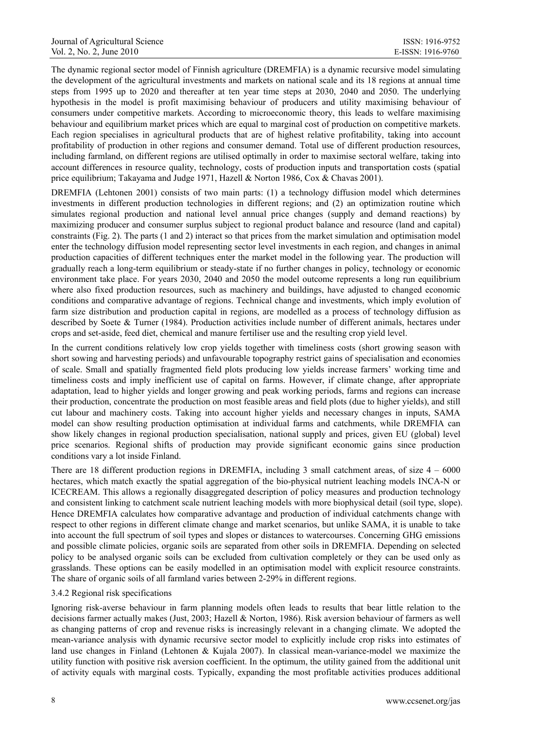The dynamic regional sector model of Finnish agriculture (DREMFIA) is a dynamic recursive model simulating the development of the agricultural investments and markets on national scale and its 18 regions at annual time steps from 1995 up to 2020 and thereafter at ten year time steps at 2030, 2040 and 2050. The underlying hypothesis in the model is profit maximising behaviour of producers and utility maximising behaviour of consumers under competitive markets. According to microeconomic theory, this leads to welfare maximising behaviour and equilibrium market prices which are equal to marginal cost of production on competitive markets. Each region specialises in agricultural products that are of highest relative profitability, taking into account profitability of production in other regions and consumer demand. Total use of different production resources, including farmland, on different regions are utilised optimally in order to maximise sectoral welfare, taking into account differences in resource quality, technology, costs of production inputs and transportation costs (spatial price equilibrium; Takayama and Judge 1971, Hazell & Norton 1986, Cox & Chavas 2001).

DREMFIA (Lehtonen 2001) consists of two main parts: (1) a technology diffusion model which determines investments in different production technologies in different regions; and (2) an optimization routine which simulates regional production and national level annual price changes (supply and demand reactions) by maximizing producer and consumer surplus subject to regional product balance and resource (land and capital) constraints (Fig. 2). The parts (1 and 2) interact so that prices from the market simulation and optimisation model enter the technology diffusion model representing sector level investments in each region, and changes in animal production capacities of different techniques enter the market model in the following year. The production will gradually reach a long-term equilibrium or steady-state if no further changes in policy, technology or economic environment take place. For years 2030, 2040 and 2050 the model outcome represents a long run equilibrium where also fixed production resources, such as machinery and buildings, have adjusted to changed economic conditions and comparative advantage of regions. Technical change and investments, which imply evolution of farm size distribution and production capital in regions, are modelled as a process of technology diffusion as described by Soete & Turner (1984). Production activities include number of different animals, hectares under crops and set-aside, feed diet, chemical and manure fertiliser use and the resulting crop yield level.

In the current conditions relatively low crop yields together with timeliness costs (short growing season with short sowing and harvesting periods) and unfavourable topography restrict gains of specialisation and economies of scale. Small and spatially fragmented field plots producing low yields increase farmers' working time and timeliness costs and imply inefficient use of capital on farms. However, if climate change, after appropriate adaptation, lead to higher yields and longer growing and peak working periods, farms and regions can increase their production, concentrate the production on most feasible areas and field plots (due to higher yields), and still cut labour and machinery costs. Taking into account higher yields and necessary changes in inputs, SAMA model can show resulting production optimisation at individual farms and catchments, while DREMFIA can show likely changes in regional production specialisation, national supply and prices, given EU (global) level price scenarios. Regional shifts of production may provide significant economic gains since production conditions vary a lot inside Finland.

There are 18 different production regions in DREMFIA, including 3 small catchment areas, of size 4 – 6000 hectares, which match exactly the spatial aggregation of the bio-physical nutrient leaching models INCA-N or ICECREAM. This allows a regionally disaggregated description of policy measures and production technology and consistent linking to catchment scale nutrient leaching models with more biophysical detail (soil type, slope). Hence DREMFIA calculates how comparative advantage and production of individual catchments change with respect to other regions in different climate change and market scenarios, but unlike SAMA, it is unable to take into account the full spectrum of soil types and slopes or distances to watercourses. Concerning GHG emissions and possible climate policies, organic soils are separated from other soils in DREMFIA. Depending on selected policy to be analysed organic soils can be excluded from cultivation completely or they can be used only as grasslands. These options can be easily modelled in an optimisation model with explicit resource constraints. The share of organic soils of all farmland varies between 2-29% in different regions.

# 3.4.2 Regional risk specifications

Ignoring risk-averse behaviour in farm planning models often leads to results that bear little relation to the decisions farmer actually makes (Just, 2003; Hazell & Norton, 1986). Risk aversion behaviour of farmers as well as changing patterns of crop and revenue risks is increasingly relevant in a changing climate. We adopted the mean-variance analysis with dynamic recursive sector model to explicitly include crop risks into estimates of land use changes in Finland (Lehtonen & Kujala 2007). In classical mean-variance-model we maximize the utility function with positive risk aversion coefficient. In the optimum, the utility gained from the additional unit of activity equals with marginal costs. Typically, expanding the most profitable activities produces additional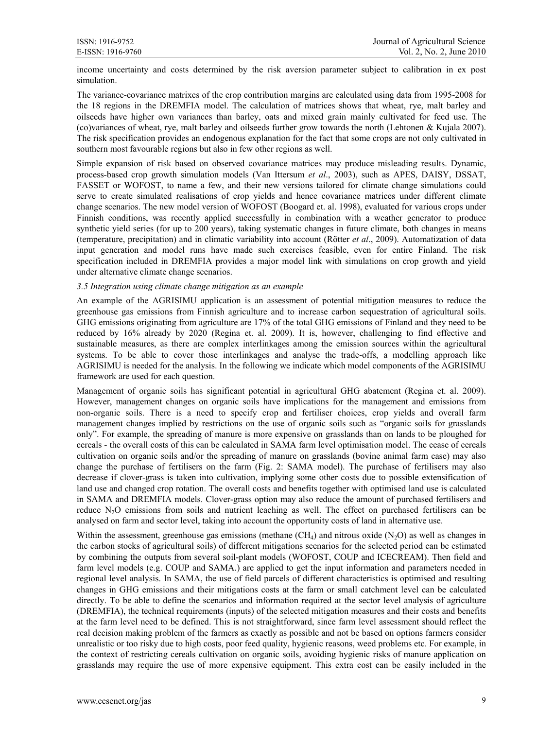income uncertainty and costs determined by the risk aversion parameter subject to calibration in ex post simulation.

The variance-covariance matrixes of the crop contribution margins are calculated using data from 1995-2008 for the 18 regions in the DREMFIA model. The calculation of matrices shows that wheat, rye, malt barley and oilseeds have higher own variances than barley, oats and mixed grain mainly cultivated for feed use. The (co)variances of wheat, rye, malt barley and oilseeds further grow towards the north (Lehtonen & Kujala 2007). The risk specification provides an endogenous explanation for the fact that some crops are not only cultivated in southern most favourable regions but also in few other regions as well.

Simple expansion of risk based on observed covariance matrices may produce misleading results. Dynamic, process-based crop growth simulation models (Van Ittersum *et al*., 2003), such as APES, DAISY, DSSAT, FASSET or WOFOST, to name a few, and their new versions tailored for climate change simulations could serve to create simulated realisations of crop yields and hence covariance matrices under different climate change scenarios. The new model version of WOFOST (Boogard et. al. 1998), evaluated for various crops under Finnish conditions, was recently applied successfully in combination with a weather generator to produce synthetic yield series (for up to 200 years), taking systematic changes in future climate, both changes in means (temperature, precipitation) and in climatic variability into account (Rötter *et al*., 2009). Automatization of data input generation and model runs have made such exercises feasible, even for entire Finland. The risk specification included in DREMFIA provides a major model link with simulations on crop growth and yield under alternative climate change scenarios.

#### *3.5 Integration using climate change mitigation as an example*

An example of the AGRISIMU application is an assessment of potential mitigation measures to reduce the greenhouse gas emissions from Finnish agriculture and to increase carbon sequestration of agricultural soils. GHG emissions originating from agriculture are 17% of the total GHG emissions of Finland and they need to be reduced by 16% already by 2020 (Regina et. al. 2009). It is, however, challenging to find effective and sustainable measures, as there are complex interlinkages among the emission sources within the agricultural systems. To be able to cover those interlinkages and analyse the trade-offs, a modelling approach like AGRISIMU is needed for the analysis. In the following we indicate which model components of the AGRISIMU framework are used for each question.

Management of organic soils has significant potential in agricultural GHG abatement (Regina et. al. 2009). However, management changes on organic soils have implications for the management and emissions from non-organic soils. There is a need to specify crop and fertiliser choices, crop yields and overall farm management changes implied by restrictions on the use of organic soils such as "organic soils for grasslands only". For example, the spreading of manure is more expensive on grasslands than on lands to be ploughed for cereals - the overall costs of this can be calculated in SAMA farm level optimisation model. The cease of cereals cultivation on organic soils and/or the spreading of manure on grasslands (bovine animal farm case) may also change the purchase of fertilisers on the farm (Fig. 2: SAMA model). The purchase of fertilisers may also decrease if clover-grass is taken into cultivation, implying some other costs due to possible extensification of land use and changed crop rotation. The overall costs and benefits together with optimised land use is calculated in SAMA and DREMFIA models. Clover-grass option may also reduce the amount of purchased fertilisers and reduce N<sub>2</sub>O emissions from soils and nutrient leaching as well. The effect on purchased fertilisers can be analysed on farm and sector level, taking into account the opportunity costs of land in alternative use.

Within the assessment, greenhouse gas emissions (methane  $(CH_4)$  and nitrous oxide  $(N_2O)$  as well as changes in the carbon stocks of agricultural soils) of different mitigations scenarios for the selected period can be estimated by combining the outputs from several soil-plant models (WOFOST, COUP and ICECREAM). Then field and farm level models (e.g. COUP and SAMA.) are applied to get the input information and parameters needed in regional level analysis. In SAMA, the use of field parcels of different characteristics is optimised and resulting changes in GHG emissions and their mitigations costs at the farm or small catchment level can be calculated directly. To be able to define the scenarios and information required at the sector level analysis of agriculture (DREMFIA), the technical requirements (inputs) of the selected mitigation measures and their costs and benefits at the farm level need to be defined. This is not straightforward, since farm level assessment should reflect the real decision making problem of the farmers as exactly as possible and not be based on options farmers consider unrealistic or too risky due to high costs, poor feed quality, hygienic reasons, weed problems etc. For example, in the context of restricting cereals cultivation on organic soils, avoiding hygienic risks of manure application on grasslands may require the use of more expensive equipment. This extra cost can be easily included in the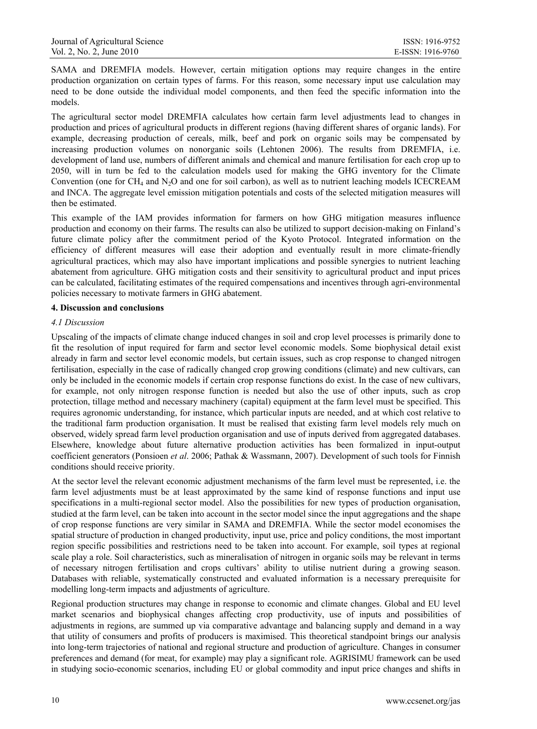SAMA and DREMFIA models. However, certain mitigation options may require changes in the entire production organization on certain types of farms. For this reason, some necessary input use calculation may need to be done outside the individual model components, and then feed the specific information into the models.

The agricultural sector model DREMFIA calculates how certain farm level adjustments lead to changes in production and prices of agricultural products in different regions (having different shares of organic lands). For example, decreasing production of cereals, milk, beef and pork on organic soils may be compensated by increasing production volumes on nonorganic soils (Lehtonen 2006). The results from DREMFIA, i.e. development of land use, numbers of different animals and chemical and manure fertilisation for each crop up to 2050, will in turn be fed to the calculation models used for making the GHG inventory for the Climate Convention (one for  $CH_4$  and N<sub>2</sub>O and one for soil carbon), as well as to nutrient leaching models ICECREAM and INCA. The aggregate level emission mitigation potentials and costs of the selected mitigation measures will then be estimated.

This example of the IAM provides information for farmers on how GHG mitigation measures influence production and economy on their farms. The results can also be utilized to support decision-making on Finland's future climate policy after the commitment period of the Kyoto Protocol. Integrated information on the efficiency of different measures will ease their adoption and eventually result in more climate-friendly agricultural practices, which may also have important implications and possible synergies to nutrient leaching abatement from agriculture. GHG mitigation costs and their sensitivity to agricultural product and input prices can be calculated, facilitating estimates of the required compensations and incentives through agri-environmental policies necessary to motivate farmers in GHG abatement.

#### **4. Discussion and conclusions**

#### *4.1 Discussion*

Upscaling of the impacts of climate change induced changes in soil and crop level processes is primarily done to fit the resolution of input required for farm and sector level economic models. Some biophysical detail exist already in farm and sector level economic models, but certain issues, such as crop response to changed nitrogen fertilisation, especially in the case of radically changed crop growing conditions (climate) and new cultivars, can only be included in the economic models if certain crop response functions do exist. In the case of new cultivars, for example, not only nitrogen response function is needed but also the use of other inputs, such as crop protection, tillage method and necessary machinery (capital) equipment at the farm level must be specified. This requires agronomic understanding, for instance, which particular inputs are needed, and at which cost relative to the traditional farm production organisation. It must be realised that existing farm level models rely much on observed, widely spread farm level production organisation and use of inputs derived from aggregated databases. Elsewhere, knowledge about future alternative production activities has been formalized in input-output coefficient generators (Ponsioen *et al*. 2006; Pathak & Wassmann, 2007). Development of such tools for Finnish conditions should receive priority.

At the sector level the relevant economic adjustment mechanisms of the farm level must be represented, i.e. the farm level adjustments must be at least approximated by the same kind of response functions and input use specifications in a multi-regional sector model. Also the possibilities for new types of production organisation, studied at the farm level, can be taken into account in the sector model since the input aggregations and the shape of crop response functions are very similar in SAMA and DREMFIA. While the sector model economises the spatial structure of production in changed productivity, input use, price and policy conditions, the most important region specific possibilities and restrictions need to be taken into account. For example, soil types at regional scale play a role. Soil characteristics, such as mineralisation of nitrogen in organic soils may be relevant in terms of necessary nitrogen fertilisation and crops cultivars' ability to utilise nutrient during a growing season. Databases with reliable, systematically constructed and evaluated information is a necessary prerequisite for modelling long-term impacts and adjustments of agriculture.

Regional production structures may change in response to economic and climate changes. Global and EU level market scenarios and biophysical changes affecting crop productivity, use of inputs and possibilities of adjustments in regions, are summed up via comparative advantage and balancing supply and demand in a way that utility of consumers and profits of producers is maximised. This theoretical standpoint brings our analysis into long-term trajectories of national and regional structure and production of agriculture. Changes in consumer preferences and demand (for meat, for example) may play a significant role. AGRISIMU framework can be used in studying socio-economic scenarios, including EU or global commodity and input price changes and shifts in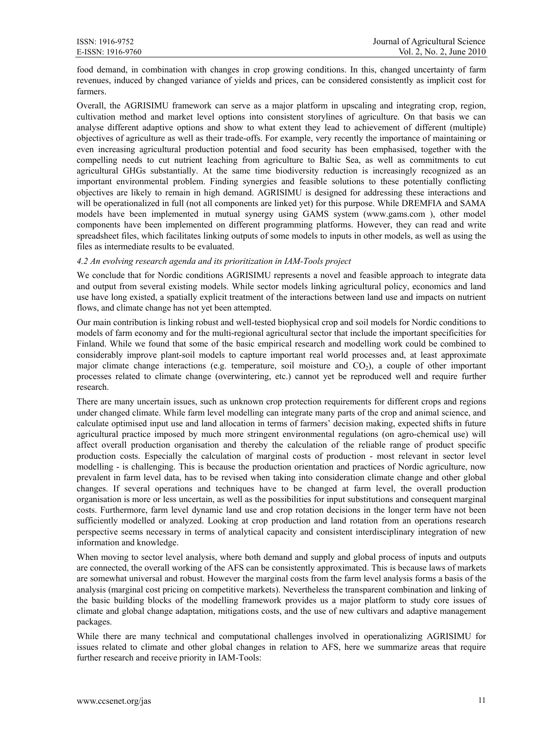food demand, in combination with changes in crop growing conditions. In this, changed uncertainty of farm revenues, induced by changed variance of yields and prices, can be considered consistently as implicit cost for farmers.

Overall, the AGRISIMU framework can serve as a major platform in upscaling and integrating crop, region, cultivation method and market level options into consistent storylines of agriculture. On that basis we can analyse different adaptive options and show to what extent they lead to achievement of different (multiple) objectives of agriculture as well as their trade-offs. For example, very recently the importance of maintaining or even increasing agricultural production potential and food security has been emphasised, together with the compelling needs to cut nutrient leaching from agriculture to Baltic Sea, as well as commitments to cut agricultural GHGs substantially. At the same time biodiversity reduction is increasingly recognized as an important environmental problem. Finding synergies and feasible solutions to these potentially conflicting objectives are likely to remain in high demand. AGRISIMU is designed for addressing these interactions and will be operationalized in full (not all components are linked yet) for this purpose. While DREMFIA and SAMA models have been implemented in mutual synergy using GAMS system (www.gams.com ), other model components have been implemented on different programming platforms. However, they can read and write spreadsheet files, which facilitates linking outputs of some models to inputs in other models, as well as using the files as intermediate results to be evaluated.

#### *4.2 An evolving research agenda and its prioritization in IAM-Tools project*

We conclude that for Nordic conditions AGRISIMU represents a novel and feasible approach to integrate data and output from several existing models. While sector models linking agricultural policy, economics and land use have long existed, a spatially explicit treatment of the interactions between land use and impacts on nutrient flows, and climate change has not yet been attempted.

Our main contribution is linking robust and well-tested biophysical crop and soil models for Nordic conditions to models of farm economy and for the multi-regional agricultural sector that include the important specificities for Finland. While we found that some of the basic empirical research and modelling work could be combined to considerably improve plant-soil models to capture important real world processes and, at least approximate major climate change interactions (e.g. temperature, soil moisture and  $CO<sub>2</sub>$ ), a couple of other important processes related to climate change (overwintering, etc.) cannot yet be reproduced well and require further research.

There are many uncertain issues, such as unknown crop protection requirements for different crops and regions under changed climate. While farm level modelling can integrate many parts of the crop and animal science, and calculate optimised input use and land allocation in terms of farmers' decision making, expected shifts in future agricultural practice imposed by much more stringent environmental regulations (on agro-chemical use) will affect overall production organisation and thereby the calculation of the reliable range of product specific production costs. Especially the calculation of marginal costs of production - most relevant in sector level modelling - is challenging. This is because the production orientation and practices of Nordic agriculture, now prevalent in farm level data, has to be revised when taking into consideration climate change and other global changes. If several operations and techniques have to be changed at farm level, the overall production organisation is more or less uncertain, as well as the possibilities for input substitutions and consequent marginal costs. Furthermore, farm level dynamic land use and crop rotation decisions in the longer term have not been sufficiently modelled or analyzed. Looking at crop production and land rotation from an operations research perspective seems necessary in terms of analytical capacity and consistent interdisciplinary integration of new information and knowledge.

When moving to sector level analysis, where both demand and supply and global process of inputs and outputs are connected, the overall working of the AFS can be consistently approximated. This is because laws of markets are somewhat universal and robust. However the marginal costs from the farm level analysis forms a basis of the analysis (marginal cost pricing on competitive markets). Nevertheless the transparent combination and linking of the basic building blocks of the modelling framework provides us a major platform to study core issues of climate and global change adaptation, mitigations costs, and the use of new cultivars and adaptive management packages.

While there are many technical and computational challenges involved in operationalizing AGRISIMU for issues related to climate and other global changes in relation to AFS, here we summarize areas that require further research and receive priority in IAM-Tools: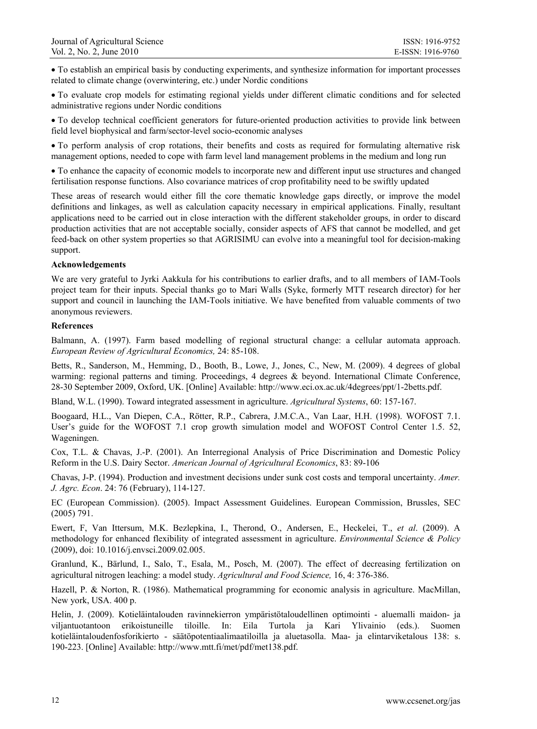• To establish an empirical basis by conducting experiments, and synthesize information for important processes related to climate change (overwintering, etc.) under Nordic conditions

• To evaluate crop models for estimating regional yields under different climatic conditions and for selected administrative regions under Nordic conditions

• To develop technical coefficient generators for future-oriented production activities to provide link between field level biophysical and farm/sector-level socio-economic analyses

• To perform analysis of crop rotations, their benefits and costs as required for formulating alternative risk management options, needed to cope with farm level land management problems in the medium and long run

• To enhance the capacity of economic models to incorporate new and different input use structures and changed fertilisation response functions. Also covariance matrices of crop profitability need to be swiftly updated

These areas of research would either fill the core thematic knowledge gaps directly, or improve the model definitions and linkages, as well as calculation capacity necessary in empirical applications. Finally, resultant applications need to be carried out in close interaction with the different stakeholder groups, in order to discard production activities that are not acceptable socially, consider aspects of AFS that cannot be modelled, and get feed-back on other system properties so that AGRISIMU can evolve into a meaningful tool for decision-making support.

#### **Acknowledgements**

We are very grateful to Jyrki Aakkula for his contributions to earlier drafts, and to all members of IAM-Tools project team for their inputs. Special thanks go to Mari Walls (Syke, formerly MTT research director) for her support and council in launching the IAM-Tools initiative. We have benefited from valuable comments of two anonymous reviewers.

#### **References**

Balmann, A. (1997). Farm based modelling of regional structural change: a cellular automata approach. *European Review of Agricultural Economics,* 24: 85-108.

Betts, R., Sanderson, M., Hemming, D., Booth, B., Lowe, J., Jones, C., New, M. (2009). 4 degrees of global warming: regional patterns and timing. Proceedings, 4 degrees & beyond. International Climate Conference, 28-30 September 2009, Oxford, UK. [Online] Available: http://www.eci.ox.ac.uk/4degrees/ppt/1-2betts.pdf.

Bland, W.L. (1990). Toward integrated assessment in agriculture. *Agricultural Systems*, 60: 157-167.

Boogaard, H.L., Van Diepen, C.A., Rötter, R.P., Cabrera, J.M.C.A., Van Laar, H.H. (1998). WOFOST 7.1. User's guide for the WOFOST 7.1 crop growth simulation model and WOFOST Control Center 1.5. 52, Wageningen.

Cox, T.L. & Chavas, J.-P. (2001). An Interregional Analysis of Price Discrimination and Domestic Policy Reform in the U.S. Dairy Sector. *American Journal of Agricultural Economics*, 83: 89-106

Chavas, J-P. (1994). Production and investment decisions under sunk cost costs and temporal uncertainty. *Amer. J. Agrc. Econ*. 24: 76 (February), 114-127.

EC (European Commission). (2005). Impact Assessment Guidelines. European Commission, Brussles, SEC (2005) 791.

Ewert, F, Van Ittersum, M.K. Bezlepkina, I., Therond, O., Andersen, E., Heckelei, T., *et al*. (2009). A methodology for enhanced flexibility of integrated assessment in agriculture. *Environmental Science & Policy* (2009), doi: 10.1016/j.envsci.2009.02.005.

Granlund, K., Bärlund, I., Salo, T., Esala, M., Posch, M. (2007). The effect of decreasing fertilization on agricultural nitrogen leaching: a model study. *Agricultural and Food Science,* 16, 4: 376-386.

Hazell, P. & Norton, R. (1986). Mathematical programming for economic analysis in agriculture. MacMillan, New york, USA. 400 p.

Helin, J. (2009). Kotieläintalouden ravinnekierron ympäristötaloudellinen optimointi - aluemalli maidon- ja viljantuotantoon erikoistuneille tiloille. In: Eila Turtola ja Kari Ylivainio (eds.). Suomen kotieläintaloudenfosforikierto - säätöpotentiaalimaatiloilla ja aluetasolla. Maa- ja elintarviketalous 138: s. 190-223. [Online] Available: http://www.mtt.fi/met/pdf/met138.pdf.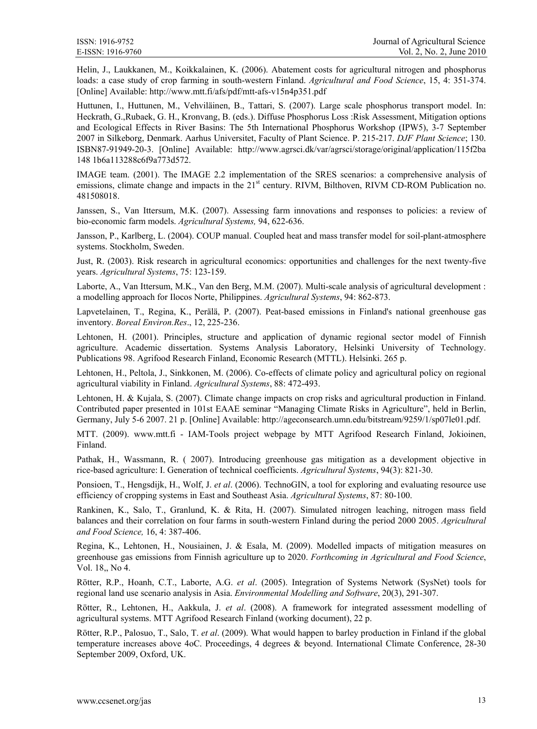Helin, J., Laukkanen, M., Koikkalainen, K. (2006). Abatement costs for agricultural nitrogen and phosphorus loads: a case study of crop farming in south-western Finland. *Agricultural and Food Science*, 15, 4: 351-374. [Online] Available: http://www.mtt.fi/afs/pdf/mtt-afs-v15n4p351.pdf

Huttunen, I., Huttunen, M., Vehviläinen, B., Tattari, S. (2007). Large scale phosphorus transport model. In: Heckrath, G.,Rubaek, G. H., Kronvang, B. (eds.). Diffuse Phosphorus Loss :Risk Assessment, Mitigation options and Ecological Effects in River Basins: The 5th International Phosphorus Workshop (IPW5), 3-7 September 2007 in Silkeborg, Denmark. Aarhus Universitet, Faculty of Plant Science. P. 215-217. *DJF Plant Science*; 130. ISBN87-91949-20-3. [Online] Available: http://www.agrsci.dk/var/agrsci/storage/original/application/115f2ba 148 1b6a113288c6f9a773d572.

IMAGE team. (2001). The IMAGE 2.2 implementation of the SRES scenarios: a comprehensive analysis of emissions, climate change and impacts in the 21<sup>st</sup> century. RIVM, Bilthoven, RIVM CD-ROM Publication no. 481508018.

Janssen, S., Van Ittersum, M.K. (2007). Assessing farm innovations and responses to policies: a review of bio-economic farm models. *Agricultural Systems,* 94, 622-636.

Jansson, P., Karlberg, L. (2004). COUP manual. Coupled heat and mass transfer model for soil-plant-atmosphere systems. Stockholm, Sweden.

Just, R. (2003). Risk research in agricultural economics: opportunities and challenges for the next twenty-five years. *Agricultural Systems*, 75: 123-159.

Laborte, A., Van Ittersum, M.K., Van den Berg, M.M. (2007). Multi-scale analysis of agricultural development : a modelling approach for Ilocos Norte, Philippines. *Agricultural Systems*, 94: 862-873.

Lapvetelainen, T., Regina, K., Perälä, P. (2007). Peat-based emissions in Finland's national greenhouse gas inventory. *Boreal Environ.Res*., 12, 225-236.

Lehtonen, H. (2001). Principles, structure and application of dynamic regional sector model of Finnish agriculture. Academic dissertation. Systems Analysis Laboratory, Helsinki University of Technology. Publications 98. Agrifood Research Finland, Economic Research (MTTL). Helsinki. 265 p.

Lehtonen, H., Peltola, J., Sinkkonen, M. (2006). Co-effects of climate policy and agricultural policy on regional agricultural viability in Finland. *Agricultural Systems*, 88: 472-493.

Lehtonen, H. & Kujala, S. (2007). Climate change impacts on crop risks and agricultural production in Finland. Contributed paper presented in 101st EAAE seminar "Managing Climate Risks in Agriculture", held in Berlin, Germany, July 5-6 2007. 21 p. [Online] Available: http://ageconsearch.umn.edu/bitstream/9259/1/sp07le01.pdf.

MTT. (2009). www.mtt.fi - IAM-Tools project webpage by MTT Agrifood Research Finland, Jokioinen, Finland.

Pathak, H., Wassmann, R. ( 2007). Introducing greenhouse gas mitigation as a development objective in rice-based agriculture: I. Generation of technical coefficients. *Agricultural Systems*, 94(3): 821-30.

Ponsioen, T., Hengsdijk, H., Wolf, J. *et al*. (2006). TechnoGIN, a tool for exploring and evaluating resource use efficiency of cropping systems in East and Southeast Asia. *Agricultural Systems*, 87: 80-100.

Rankinen, K., Salo, T., Granlund, K. & Rita, H. (2007). Simulated nitrogen leaching, nitrogen mass field balances and their correlation on four farms in south-western Finland during the period 2000 2005. *Agricultural and Food Science,* 16, 4: 387-406.

Regina, K., Lehtonen, H., Nousiainen, J. & Esala, M. (2009). Modelled impacts of mitigation measures on greenhouse gas emissions from Finnish agriculture up to 2020. *Forthcoming in Agricultural and Food Science*, Vol. 18,, No 4.

Rötter, R.P., Hoanh, C.T., Laborte, A.G. *et al*. (2005). Integration of Systems Network (SysNet) tools for regional land use scenario analysis in Asia. *Environmental Modelling and Software*, 20(3), 291-307.

Rötter, R., Lehtonen, H., Aakkula, J. *et al*. (2008). A framework for integrated assessment modelling of agricultural systems. MTT Agrifood Research Finland (working document), 22 p.

Rötter, R.P., Palosuo, T., Salo, T. *et al*. (2009). What would happen to barley production in Finland if the global temperature increases above 4oC. Proceedings, 4 degrees & beyond. International Climate Conference, 28-30 September 2009, Oxford, UK.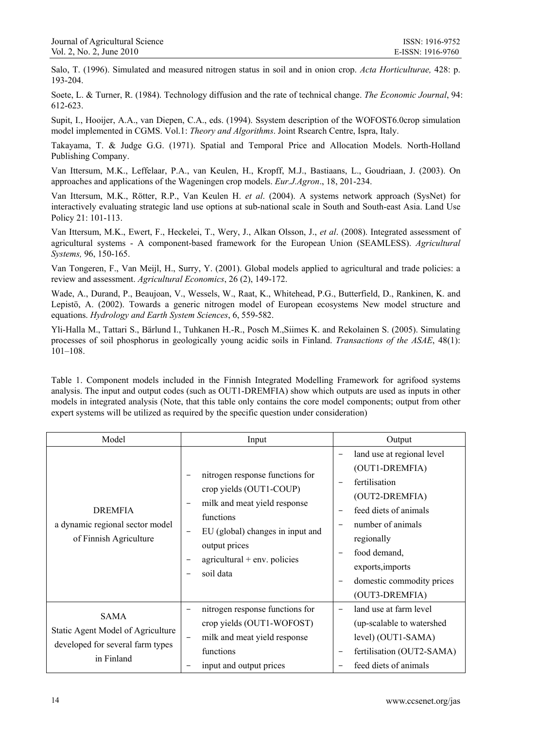Salo, T. (1996). Simulated and measured nitrogen status in soil and in onion crop. *Acta Horticulturae,* 428: p. 193-204.

Soete, L. & Turner, R. (1984). Technology diffusion and the rate of technical change. *The Economic Journal*, 94: 612-623.

Supit, I., Hooijer, A.A., van Diepen, C.A., eds. (1994). Ssystem description of the WOFOST6.0crop simulation model implemented in CGMS. Vol.1: *Theory and Algorithms*. Joint Rsearch Centre, Ispra, Italy.

Takayama, T. & Judge G.G. (1971). Spatial and Temporal Price and Allocation Models. North-Holland Publishing Company.

Van Ittersum, M.K., Leffelaar, P.A., van Keulen, H., Kropff, M.J., Bastiaans, L., Goudriaan, J. (2003). On approaches and applications of the Wageningen crop models. *Eur.J.Agron*., 18, 201-234.

Van Ittersum, M.K., Rötter, R.P., Van Keulen H. *et al*. (2004). A systems network approach (SysNet) for interactively evaluating strategic land use options at sub-national scale in South and South-east Asia. Land Use Policy 21: 101-113.

Van Ittersum, M.K., Ewert, F., Heckelei, T., Wery, J., Alkan Olsson, J., *et al*. (2008). Integrated assessment of agricultural systems - A component-based framework for the European Union (SEAMLESS). *Agricultural Systems,* 96, 150-165.

Van Tongeren, F., Van Meijl, H., Surry, Y. (2001). Global models applied to agricultural and trade policies: a review and assessment. *Agricultural Economics*, 26 (2), 149-172.

Wade, A., Durand, P., Beaujoan, V., Wessels, W., Raat, K., Whitehead, P.G., Butterfield, D., Rankinen, K. and Lepistö, A. (2002). Towards a generic nitrogen model of European ecosystems New model structure and equations. *Hydrology and Earth System Sciences*, 6, 559-582.

Yli-Halla M., Tattari S., Bärlund I., Tuhkanen H.-R., Posch M.,Siimes K. and Rekolainen S. (2005). Simulating processes of soil phosphorus in geologically young acidic soils in Finland. *Transactions of the ASAE*, 48(1): 101–108.

Table 1. Component models included in the Finnish Integrated Modelling Framework for agrifood systems analysis. The input and output codes (such as OUT1-DREMFIA) show which outputs are used as inputs in other models in integrated analysis (Note, that this table only contains the core model components; output from other expert systems will be utilized as required by the specific question under consideration)

| Model                                                                                              | Input                                                                                                                                                                                                                 | Output                                                                                                                                                                                                                              |
|----------------------------------------------------------------------------------------------------|-----------------------------------------------------------------------------------------------------------------------------------------------------------------------------------------------------------------------|-------------------------------------------------------------------------------------------------------------------------------------------------------------------------------------------------------------------------------------|
| <b>DREMFIA</b><br>a dynamic regional sector model<br>of Finnish Agriculture                        | nitrogen response functions for<br>crop yields (OUT1-COUP)<br>milk and meat yield response<br>-<br>functions<br>EU (global) changes in input and<br>output prices<br>$agricultural + env. policies$<br>soil data<br>— | land use at regional level<br>(OUT1-DREMFIA)<br>fertilisation<br>(OUT2-DREMFIA)<br>feed diets of animals<br>number of animals<br>regionally<br>food demand,<br>exports, imports<br>domestic commodity prices<br>-<br>(OUT3-DREMFIA) |
| <b>SAMA</b><br>Static Agent Model of Agriculture<br>developed for several farm types<br>in Finland | nitrogen response functions for<br>-<br>crop yields (OUT1-WOFOST)<br>milk and meat yield response<br>functions<br>input and output prices                                                                             | land use at farm level<br>$\overline{\phantom{m}}$<br>(up-scalable to watershed<br>level) (OUT1-SAMA)<br>fertilisation (OUT2-SAMA)<br>$\overline{\phantom{m}}$<br>feed diets of animals                                             |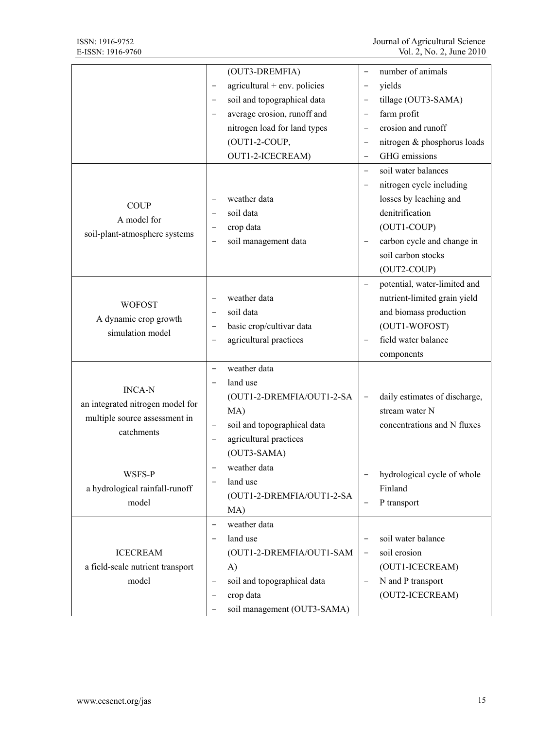|                                         | (OUT3-DREMFIA)                                      | number of animals                                        |
|-----------------------------------------|-----------------------------------------------------|----------------------------------------------------------|
|                                         | $agricultural + env. policies$<br>$\qquad \qquad -$ | yields<br>$\overline{\phantom{0}}$                       |
|                                         | soil and topographical data<br>$\qquad \qquad -$    | tillage (OUT3-SAMA)                                      |
|                                         | average erosion, runoff and                         | farm profit<br>—                                         |
|                                         | nitrogen load for land types                        | erosion and runoff<br>$\overline{\phantom{0}}$           |
|                                         | (OUT1-2-COUP,                                       | nitrogen & phosphorus loads                              |
|                                         | OUT1-2-ICECREAM)                                    | GHG emissions<br>$\qquad \qquad -$                       |
| <b>COUP</b><br>A model for              |                                                     | soil water balances<br>$\overline{\phantom{0}}$          |
|                                         |                                                     | nitrogen cycle including                                 |
|                                         | weather data                                        | losses by leaching and                                   |
|                                         | soil data                                           | denitrification                                          |
|                                         | crop data<br>$\qquad \qquad -$                      | (OUT1-COUP)                                              |
| soil-plant-atmosphere systems           | soil management data                                | carbon cycle and change in<br>$\overline{\phantom{0}}$   |
|                                         |                                                     | soil carbon stocks                                       |
|                                         |                                                     | (OUT2-COUP)                                              |
|                                         |                                                     | potential, water-limited and<br>$\overline{\phantom{0}}$ |
|                                         | weather data                                        | nutrient-limited grain yield                             |
| <b>WOFOST</b>                           | soil data<br>$\overline{\phantom{0}}$               | and biomass production                                   |
| A dynamic crop growth                   | basic crop/cultivar data                            | (OUT1-WOFOST)                                            |
| simulation model                        | agricultural practices                              | field water balance<br>$\overline{\phantom{0}}$          |
|                                         |                                                     | components                                               |
|                                         | weather data                                        |                                                          |
|                                         | land use                                            |                                                          |
| <b>INCA-N</b>                           | (OUT1-2-DREMFIA/OUT1-2-SA                           | daily estimates of discharge,<br>$\qquad \qquad -$       |
| an integrated nitrogen model for        | MA)                                                 | stream water N                                           |
| multiple source assessment in           | soil and topographical data<br>$\qquad \qquad -$    | concentrations and N fluxes                              |
| catchments                              | agricultural practices                              |                                                          |
|                                         | (OUT3-SAMA)                                         |                                                          |
|                                         | weather data                                        |                                                          |
| WSFS-P                                  | land use                                            | hydrological cycle of whole<br>$\qquad \qquad -$         |
| a hydrological rainfall-runoff<br>model | (OUT1-2-DREMFIA/OUT1-2-SA                           | Finland                                                  |
|                                         | MA)                                                 | P transport                                              |
|                                         | weather data<br>$\qquad \qquad -$                   |                                                          |
|                                         | land use                                            | soil water balance<br>$\overline{\phantom{0}}$           |
| <b>ICECREAM</b>                         | (OUT1-2-DREMFIA/OUT1-SAM                            | soil erosion<br>$\qquad \qquad -$                        |
| a field-scale nutrient transport        | $\bf{A}$                                            | (OUT1-ICECREAM)                                          |
| model                                   | soil and topographical data                         | N and P transport                                        |
|                                         | crop data                                           | (OUT2-ICECREAM)                                          |
|                                         | soil management (OUT3-SAMA)                         |                                                          |